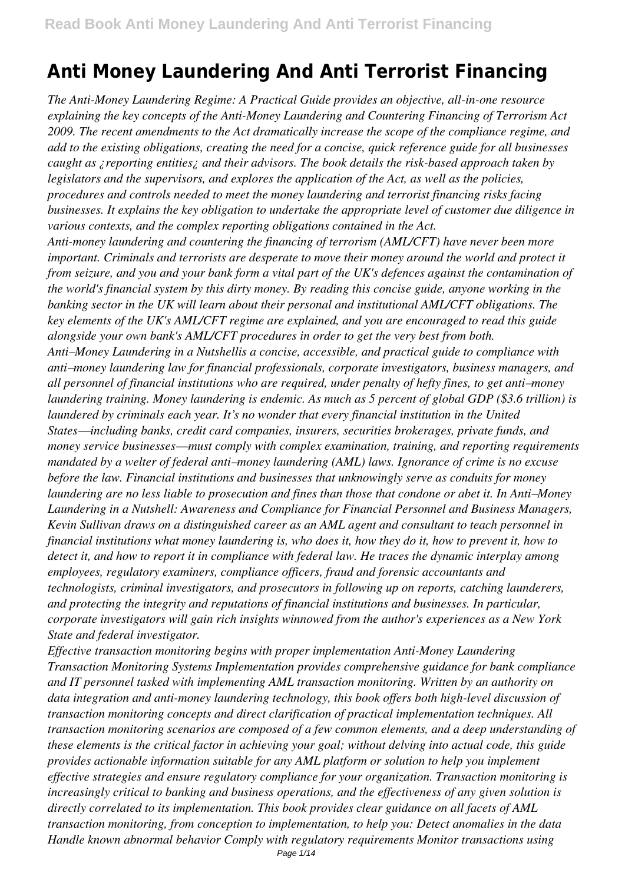*The Anti-Money Laundering Regime: A Practical Guide provides an objective, all-in-one resource explaining the key concepts of the Anti-Money Laundering and Countering Financing of Terrorism Act 2009. The recent amendments to the Act dramatically increase the scope of the compliance regime, and add to the existing obligations, creating the need for a concise, quick reference guide for all businesses caught as ¿reporting entities¿ and their advisors. The book details the risk-based approach taken by legislators and the supervisors, and explores the application of the Act, as well as the policies, procedures and controls needed to meet the money laundering and terrorist financing risks facing businesses. It explains the key obligation to undertake the appropriate level of customer due diligence in various contexts, and the complex reporting obligations contained in the Act. Anti-money laundering and countering the financing of terrorism (AML/CFT) have never been more important. Criminals and terrorists are desperate to move their money around the world and protect it from seizure, and you and your bank form a vital part of the UK's defences against the contamination of the world's financial system by this dirty money. By reading this concise guide, anyone working in the banking sector in the UK will learn about their personal and institutional AML/CFT obligations. The key elements of the UK's AML/CFT regime are explained, and you are encouraged to read this guide alongside your own bank's AML/CFT procedures in order to get the very best from both. Anti–Money Laundering in a Nutshellis a concise, accessible, and practical guide to compliance with anti–money laundering law for financial professionals, corporate investigators, business managers, and all personnel of financial institutions who are required, under penalty of hefty fines, to get anti–money laundering training. Money laundering is endemic. As much as 5 percent of global GDP (\$3.6 trillion) is laundered by criminals each year. It's no wonder that every financial institution in the United States—including banks, credit card companies, insurers, securities brokerages, private funds, and money service businesses—must comply with complex examination, training, and reporting requirements mandated by a welter of federal anti–money laundering (AML) laws. Ignorance of crime is no excuse before the law. Financial institutions and businesses that unknowingly serve as conduits for money laundering are no less liable to prosecution and fines than those that condone or abet it. In Anti–Money Laundering in a Nutshell: Awareness and Compliance for Financial Personnel and Business Managers, Kevin Sullivan draws on a distinguished career as an AML agent and consultant to teach personnel in financial institutions what money laundering is, who does it, how they do it, how to prevent it, how to detect it, and how to report it in compliance with federal law. He traces the dynamic interplay among employees, regulatory examiners, compliance officers, fraud and forensic accountants and technologists, criminal investigators, and prosecutors in following up on reports, catching launderers, and protecting the integrity and reputations of financial institutions and businesses. In particular, corporate investigators will gain rich insights winnowed from the author's experiences as a New York State and federal investigator.*

*Effective transaction monitoring begins with proper implementation Anti-Money Laundering Transaction Monitoring Systems Implementation provides comprehensive guidance for bank compliance and IT personnel tasked with implementing AML transaction monitoring. Written by an authority on data integration and anti-money laundering technology, this book offers both high-level discussion of transaction monitoring concepts and direct clarification of practical implementation techniques. All transaction monitoring scenarios are composed of a few common elements, and a deep understanding of these elements is the critical factor in achieving your goal; without delving into actual code, this guide provides actionable information suitable for any AML platform or solution to help you implement effective strategies and ensure regulatory compliance for your organization. Transaction monitoring is increasingly critical to banking and business operations, and the effectiveness of any given solution is directly correlated to its implementation. This book provides clear guidance on all facets of AML transaction monitoring, from conception to implementation, to help you: Detect anomalies in the data Handle known abnormal behavior Comply with regulatory requirements Monitor transactions using*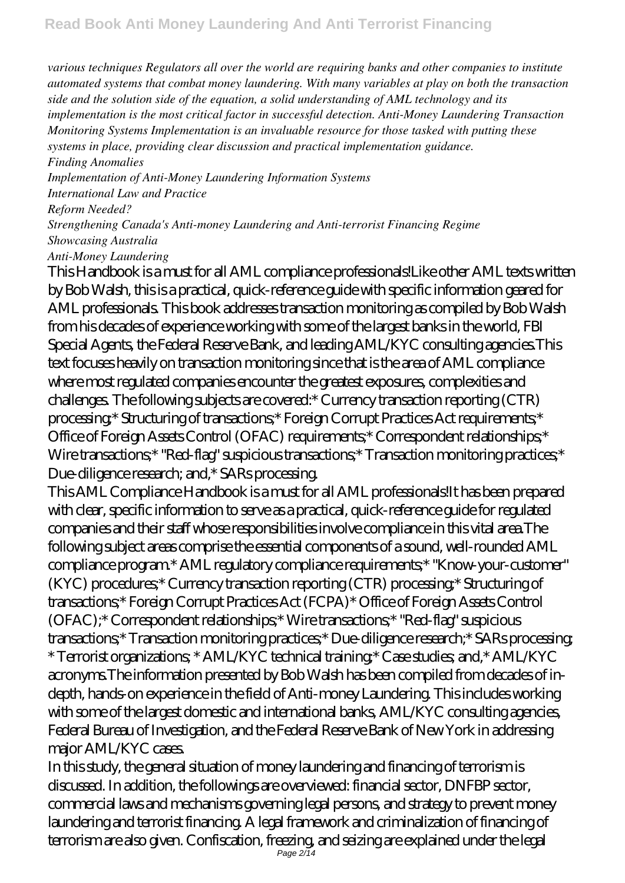*various techniques Regulators all over the world are requiring banks and other companies to institute automated systems that combat money laundering. With many variables at play on both the transaction side and the solution side of the equation, a solid understanding of AML technology and its implementation is the most critical factor in successful detection. Anti-Money Laundering Transaction Monitoring Systems Implementation is an invaluable resource for those tasked with putting these systems in place, providing clear discussion and practical implementation guidance. Finding Anomalies*

*Implementation of Anti-Money Laundering Information Systems International Law and Practice*

*Reform Needed?*

*Strengthening Canada's Anti-money Laundering and Anti-terrorist Financing Regime Showcasing Australia*

*Anti-Money Laundering*

This Handbook is a must for all AML compliance professionals!Like other AML texts written by Bob Walsh, this is a practical, quick-reference guide with specific information geared for AML professionals. This book addresses transaction monitoring as compiled by Bob Walsh from his decades of experience working with some of the largest banks in the world, FBI Special Agents, the Federal Reserve Bank, and leading AML/KYC consulting agencies.This text focuses heavily on transaction monitoring since that is the area of AML compliance where most regulated companies encounter the greatest exposures, complexities and challenges. The following subjects are covered:\* Currency transaction reporting (CTR) processing;\* Structuring of transactions;\* Foreign Corrupt Practices Act requirements;\* Office of Foreign Assets Control (OFAC) requirements;\* Correspondent relationships;\* Wire transactions;\* "Red-flag" suspicious transactions;\* Transaction monitoring practices;\* Due-diligence research; and,\* SARs processing.

This AML Compliance Handbook is a must for all AML professionals!It has been prepared with clear, specific information to serve as a practical, quick-reference guide for regulated companies and their staff whose responsibilities involve compliance in this vital area.The following subject areas comprise the essential components of a sound, well-rounded AML compliance program.\* AML regulatory compliance requirements;\* "Know-your-customer" (KYC) procedures;\* Currency transaction reporting (CTR) processing;\* Structuring of transactions;\* Foreign Corrupt Practices Act (FCPA)\* Office of Foreign Assets Control (OFAC);\* Correspondent relationships;\* Wire transactions;\* "Red-flag" suspicious transactions;\* Transaction monitoring practices;\* Due-diligence research;\* SARs processing; \* Terrorist organizations; \* AML/KYC technical training;\* Case studies; and,\* AML/KYC acronyms.The information presented by Bob Walsh has been compiled from decades of indepth, hands-on experience in the field of Anti-money Laundering. This includes working with some of the largest domestic and international banks, AML/KYC consulting agencies, Federal Bureau of Investigation, and the Federal Reserve Bank of New York in addressing major AML/KYC cases.

In this study, the general situation of money laundering and financing of terrorism is discussed. In addition, the followings are overviewed: financial sector, DNFBP sector, commercial laws and mechanisms governing legal persons, and strategy to prevent money laundering and terrorist financing. A legal framework and criminalization of financing of terrorism are also given. Confiscation, freezing, and seizing are explained under the legal Page 2/14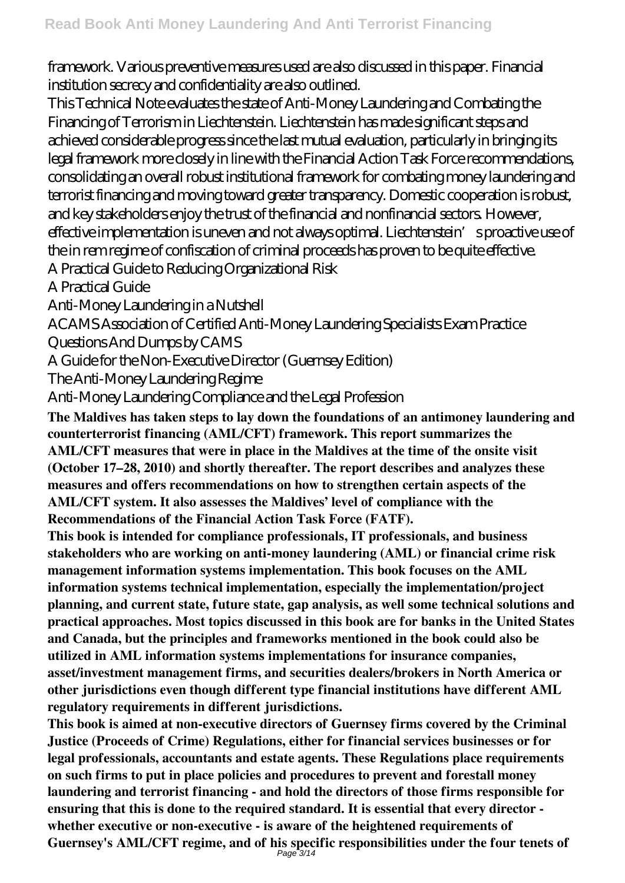framework. Various preventive measures used are also discussed in this paper. Financial institution secrecy and confidentiality are also outlined.

This Technical Note evaluates the state of Anti-Money Laundering and Combating the Financing of Terrorism in Liechtenstein. Liechtenstein has made significant steps and achieved considerable progress since the last mutual evaluation, particularly in bringing its legal framework more closely in line with the Financial Action Task Force recommendations, consolidating an overall robust institutional framework for combating money laundering and terrorist financing and moving toward greater transparency. Domestic cooperation is robust, and key stakeholders enjoy the trust of the financial and nonfinancial sectors. However, effective implementation is uneven and not always optimal. Liechtenstein's proactive use of the in rem regime of confiscation of criminal proceeds has proven to be quite effective.

A Practical Guide to Reducing Organizational Risk

A Practical Guide

Anti-Money Laundering in a Nutshell

ACAMS Association of Certified Anti-Money Laundering Specialists Exam Practice Questions And Dumps by CAMS

A Guide for the Non-Executive Director (Guernsey Edition)

The Anti-Money Laundering Regime

Anti-Money Laundering Compliance and the Legal Profession

**The Maldives has taken steps to lay down the foundations of an antimoney laundering and counterterrorist financing (AML/CFT) framework. This report summarizes the AML/CFT measures that were in place in the Maldives at the time of the onsite visit (October 17–28, 2010) and shortly thereafter. The report describes and analyzes these measures and offers recommendations on how to strengthen certain aspects of the AML/CFT system. It also assesses the Maldives' level of compliance with the Recommendations of the Financial Action Task Force (FATF).**

**This book is intended for compliance professionals, IT professionals, and business stakeholders who are working on anti-money laundering (AML) or financial crime risk management information systems implementation. This book focuses on the AML information systems technical implementation, especially the implementation/project planning, and current state, future state, gap analysis, as well some technical solutions and practical approaches. Most topics discussed in this book are for banks in the United States and Canada, but the principles and frameworks mentioned in the book could also be utilized in AML information systems implementations for insurance companies, asset/investment management firms, and securities dealers/brokers in North America or other jurisdictions even though different type financial institutions have different AML regulatory requirements in different jurisdictions.**

**This book is aimed at non-executive directors of Guernsey firms covered by the Criminal Justice (Proceeds of Crime) Regulations, either for financial services businesses or for legal professionals, accountants and estate agents. These Regulations place requirements on such firms to put in place policies and procedures to prevent and forestall money laundering and terrorist financing - and hold the directors of those firms responsible for ensuring that this is done to the required standard. It is essential that every director whether executive or non-executive - is aware of the heightened requirements of Guernsey's AML/CFT regime, and of his specific responsibilities under the four tenets of** Page 3/14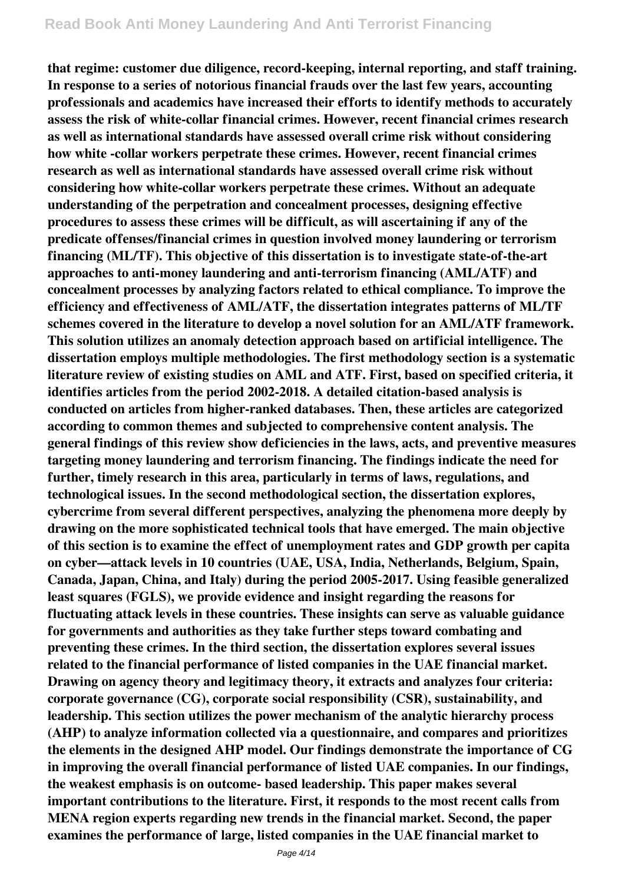**that regime: customer due diligence, record-keeping, internal reporting, and staff training. In response to a series of notorious financial frauds over the last few years, accounting professionals and academics have increased their efforts to identify methods to accurately assess the risk of white-collar financial crimes. However, recent financial crimes research as well as international standards have assessed overall crime risk without considering how white -collar workers perpetrate these crimes. However, recent financial crimes research as well as international standards have assessed overall crime risk without considering how white-collar workers perpetrate these crimes. Without an adequate understanding of the perpetration and concealment processes, designing effective procedures to assess these crimes will be difficult, as will ascertaining if any of the predicate offenses/financial crimes in question involved money laundering or terrorism financing (ML/TF). This objective of this dissertation is to investigate state-of-the-art approaches to anti-money laundering and anti-terrorism financing (AML/ATF) and concealment processes by analyzing factors related to ethical compliance. To improve the efficiency and effectiveness of AML/ATF, the dissertation integrates patterns of ML/TF schemes covered in the literature to develop a novel solution for an AML/ATF framework. This solution utilizes an anomaly detection approach based on artificial intelligence. The dissertation employs multiple methodologies. The first methodology section is a systematic literature review of existing studies on AML and ATF. First, based on specified criteria, it identifies articles from the period 2002-2018. A detailed citation-based analysis is conducted on articles from higher-ranked databases. Then, these articles are categorized according to common themes and subjected to comprehensive content analysis. The general findings of this review show deficiencies in the laws, acts, and preventive measures targeting money laundering and terrorism financing. The findings indicate the need for further, timely research in this area, particularly in terms of laws, regulations, and technological issues. In the second methodological section, the dissertation explores, cybercrime from several different perspectives, analyzing the phenomena more deeply by drawing on the more sophisticated technical tools that have emerged. The main objective of this section is to examine the effect of unemployment rates and GDP growth per capita on cyber—attack levels in 10 countries (UAE, USA, India, Netherlands, Belgium, Spain, Canada, Japan, China, and Italy) during the period 2005-2017. Using feasible generalized least squares (FGLS), we provide evidence and insight regarding the reasons for fluctuating attack levels in these countries. These insights can serve as valuable guidance for governments and authorities as they take further steps toward combating and preventing these crimes. In the third section, the dissertation explores several issues related to the financial performance of listed companies in the UAE financial market. Drawing on agency theory and legitimacy theory, it extracts and analyzes four criteria: corporate governance (CG), corporate social responsibility (CSR), sustainability, and leadership. This section utilizes the power mechanism of the analytic hierarchy process (AHP) to analyze information collected via a questionnaire, and compares and prioritizes the elements in the designed AHP model. Our findings demonstrate the importance of CG in improving the overall financial performance of listed UAE companies. In our findings, the weakest emphasis is on outcome- based leadership. This paper makes several important contributions to the literature. First, it responds to the most recent calls from MENA region experts regarding new trends in the financial market. Second, the paper examines the performance of large, listed companies in the UAE financial market to**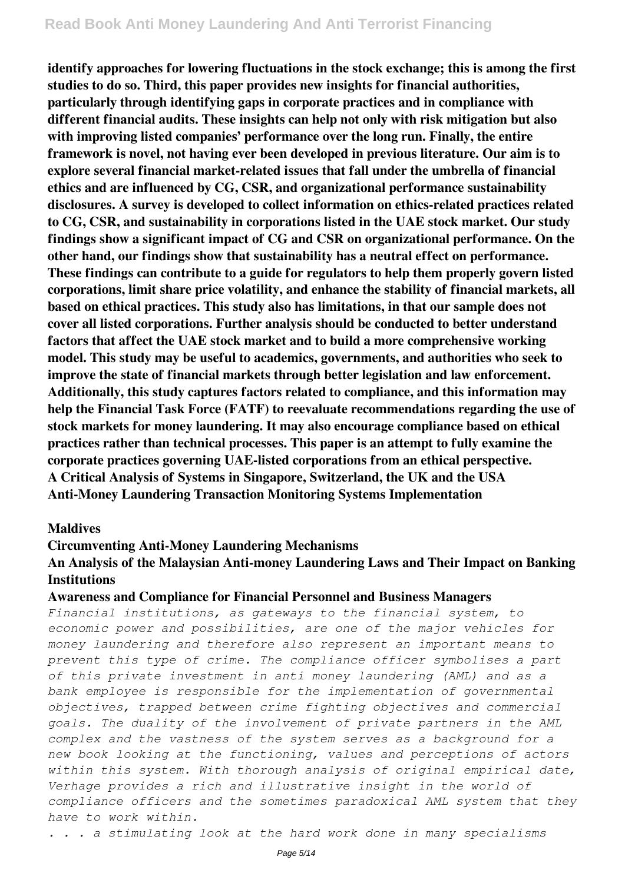**identify approaches for lowering fluctuations in the stock exchange; this is among the first studies to do so. Third, this paper provides new insights for financial authorities, particularly through identifying gaps in corporate practices and in compliance with different financial audits. These insights can help not only with risk mitigation but also with improving listed companies' performance over the long run. Finally, the entire framework is novel, not having ever been developed in previous literature. Our aim is to explore several financial market-related issues that fall under the umbrella of financial ethics and are influenced by CG, CSR, and organizational performance sustainability disclosures. A survey is developed to collect information on ethics-related practices related to CG, CSR, and sustainability in corporations listed in the UAE stock market. Our study findings show a significant impact of CG and CSR on organizational performance. On the other hand, our findings show that sustainability has a neutral effect on performance. These findings can contribute to a guide for regulators to help them properly govern listed corporations, limit share price volatility, and enhance the stability of financial markets, all based on ethical practices. This study also has limitations, in that our sample does not cover all listed corporations. Further analysis should be conducted to better understand factors that affect the UAE stock market and to build a more comprehensive working model. This study may be useful to academics, governments, and authorities who seek to improve the state of financial markets through better legislation and law enforcement. Additionally, this study captures factors related to compliance, and this information may help the Financial Task Force (FATF) to reevaluate recommendations regarding the use of stock markets for money laundering. It may also encourage compliance based on ethical practices rather than technical processes. This paper is an attempt to fully examine the corporate practices governing UAE-listed corporations from an ethical perspective. A Critical Analysis of Systems in Singapore, Switzerland, the UK and the USA Anti-Money Laundering Transaction Monitoring Systems Implementation**

#### **Maldives**

#### **Circumventing Anti-Money Laundering Mechanisms**

### **An Analysis of the Malaysian Anti-money Laundering Laws and Their Impact on Banking Institutions**

#### **Awareness and Compliance for Financial Personnel and Business Managers**

*Financial institutions, as gateways to the financial system, to economic power and possibilities, are one of the major vehicles for money laundering and therefore also represent an important means to prevent this type of crime. The compliance officer symbolises a part of this private investment in anti money laundering (AML) and as a bank employee is responsible for the implementation of governmental objectives, trapped between crime fighting objectives and commercial goals. The duality of the involvement of private partners in the AML complex and the vastness of the system serves as a background for a new book looking at the functioning, values and perceptions of actors within this system. With thorough analysis of original empirical date, Verhage provides a rich and illustrative insight in the world of compliance officers and the sometimes paradoxical AML system that they have to work within.*

*. . . a stimulating look at the hard work done in many specialisms*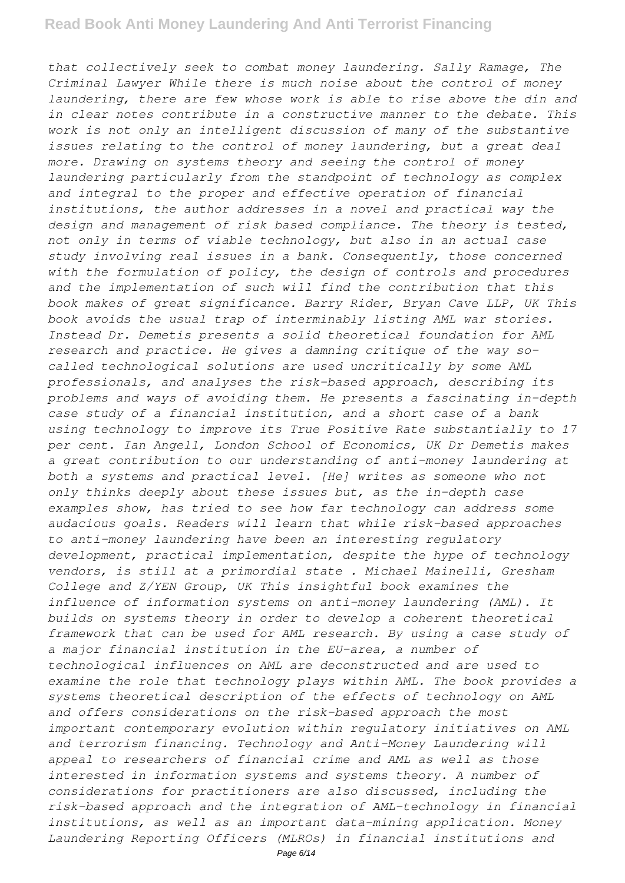*that collectively seek to combat money laundering. Sally Ramage, The Criminal Lawyer While there is much noise about the control of money laundering, there are few whose work is able to rise above the din and in clear notes contribute in a constructive manner to the debate. This work is not only an intelligent discussion of many of the substantive issues relating to the control of money laundering, but a great deal more. Drawing on systems theory and seeing the control of money laundering particularly from the standpoint of technology as complex and integral to the proper and effective operation of financial institutions, the author addresses in a novel and practical way the design and management of risk based compliance. The theory is tested, not only in terms of viable technology, but also in an actual case study involving real issues in a bank. Consequently, those concerned with the formulation of policy, the design of controls and procedures and the implementation of such will find the contribution that this book makes of great significance. Barry Rider, Bryan Cave LLP, UK This book avoids the usual trap of interminably listing AML war stories. Instead Dr. Demetis presents a solid theoretical foundation for AML research and practice. He gives a damning critique of the way socalled technological solutions are used uncritically by some AML professionals, and analyses the risk-based approach, describing its problems and ways of avoiding them. He presents a fascinating in-depth case study of a financial institution, and a short case of a bank using technology to improve its True Positive Rate substantially to 17 per cent. Ian Angell, London School of Economics, UK Dr Demetis makes a great contribution to our understanding of anti-money laundering at both a systems and practical level. [He] writes as someone who not only thinks deeply about these issues but, as the in-depth case examples show, has tried to see how far technology can address some audacious goals. Readers will learn that while risk-based approaches to anti-money laundering have been an interesting regulatory development, practical implementation, despite the hype of technology vendors, is still at a primordial state . Michael Mainelli, Gresham College and Z/YEN Group, UK This insightful book examines the influence of information systems on anti-money laundering (AML). It builds on systems theory in order to develop a coherent theoretical framework that can be used for AML research. By using a case study of a major financial institution in the EU-area, a number of technological influences on AML are deconstructed and are used to examine the role that technology plays within AML. The book provides a systems theoretical description of the effects of technology on AML and offers considerations on the risk-based approach the most important contemporary evolution within regulatory initiatives on AML and terrorism financing. Technology and Anti-Money Laundering will appeal to researchers of financial crime and AML as well as those interested in information systems and systems theory. A number of considerations for practitioners are also discussed, including the risk-based approach and the integration of AML-technology in financial institutions, as well as an important data-mining application. Money Laundering Reporting Officers (MLROs) in financial institutions and*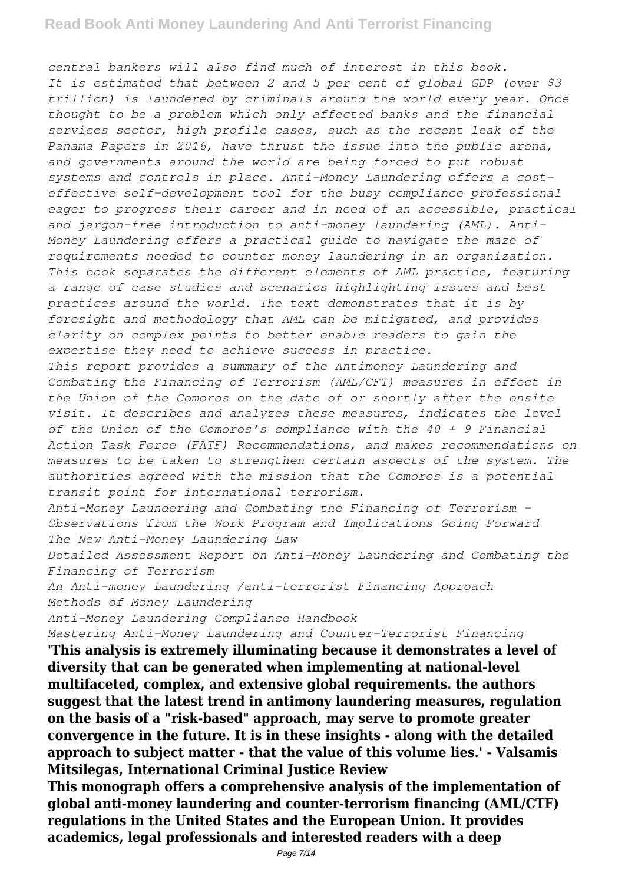*central bankers will also find much of interest in this book. It is estimated that between 2 and 5 per cent of global GDP (over \$3 trillion) is laundered by criminals around the world every year. Once thought to be a problem which only affected banks and the financial services sector, high profile cases, such as the recent leak of the Panama Papers in 2016, have thrust the issue into the public arena, and governments around the world are being forced to put robust systems and controls in place. Anti-Money Laundering offers a costeffective self-development tool for the busy compliance professional eager to progress their career and in need of an accessible, practical and jargon-free introduction to anti-money laundering (AML). Anti-Money Laundering offers a practical guide to navigate the maze of requirements needed to counter money laundering in an organization. This book separates the different elements of AML practice, featuring a range of case studies and scenarios highlighting issues and best practices around the world. The text demonstrates that it is by foresight and methodology that AML can be mitigated, and provides clarity on complex points to better enable readers to gain the expertise they need to achieve success in practice. This report provides a summary of the Antimoney Laundering and*

*Combating the Financing of Terrorism (AML/CFT) measures in effect in the Union of the Comoros on the date of or shortly after the onsite visit. It describes and analyzes these measures, indicates the level of the Union of the Comoros's compliance with the 40 + 9 Financial Action Task Force (FATF) Recommendations, and makes recommendations on measures to be taken to strengthen certain aspects of the system. The authorities agreed with the mission that the Comoros is a potential transit point for international terrorism.*

*Anti-Money Laundering and Combating the Financing of Terrorism - Observations from the Work Program and Implications Going Forward The New Anti-Money Laundering Law*

*Detailed Assessment Report on Anti-Money Laundering and Combating the Financing of Terrorism*

*An Anti-money Laundering /anti-terrorist Financing Approach Methods of Money Laundering*

*Anti-Money Laundering Compliance Handbook*

*Mastering Anti-Money Laundering and Counter-Terrorist Financing*

**'This analysis is extremely illuminating because it demonstrates a level of diversity that can be generated when implementing at national-level multifaceted, complex, and extensive global requirements. the authors suggest that the latest trend in antimony laundering measures, regulation on the basis of a "risk-based" approach, may serve to promote greater convergence in the future. It is in these insights - along with the detailed approach to subject matter - that the value of this volume lies.' - Valsamis Mitsilegas, International Criminal Justice Review**

**This monograph offers a comprehensive analysis of the implementation of global anti-money laundering and counter-terrorism financing (AML/CTF) regulations in the United States and the European Union. It provides academics, legal professionals and interested readers with a deep**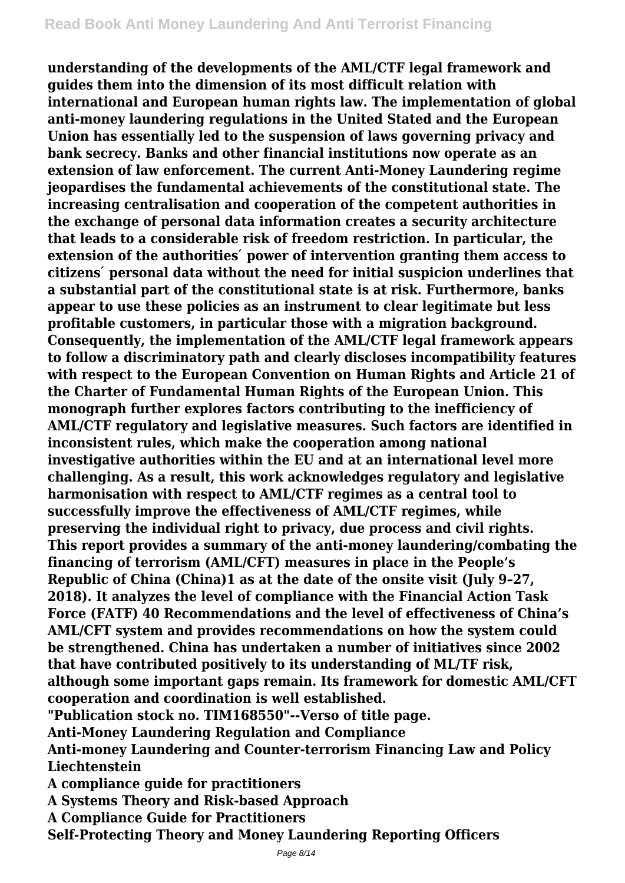**understanding of the developments of the AML/CTF legal framework and guides them into the dimension of its most difficult relation with international and European human rights law. The implementation of global anti-money laundering regulations in the United Stated and the European Union has essentially led to the suspension of laws governing privacy and bank secrecy. Banks and other financial institutions now operate as an extension of law enforcement. The current Anti-Money Laundering regime jeopardises the fundamental achievements of the constitutional state. The increasing centralisation and cooperation of the competent authorities in the exchange of personal data information creates a security architecture that leads to a considerable risk of freedom restriction. In particular, the extension of the authorities' power of intervention granting them access to citizens ́ personal data without the need for initial suspicion underlines that a substantial part of the constitutional state is at risk. Furthermore, banks appear to use these policies as an instrument to clear legitimate but less profitable customers, in particular those with a migration background. Consequently, the implementation of the AML/CTF legal framework appears to follow a discriminatory path and clearly discloses incompatibility features with respect to the European Convention on Human Rights and Article 21 of the Charter of Fundamental Human Rights of the European Union. This monograph further explores factors contributing to the inefficiency of AML/CTF regulatory and legislative measures. Such factors are identified in inconsistent rules, which make the cooperation among national investigative authorities within the EU and at an international level more challenging. As a result, this work acknowledges regulatory and legislative harmonisation with respect to AML/CTF regimes as a central tool to successfully improve the effectiveness of AML/CTF regimes, while preserving the individual right to privacy, due process and civil rights. This report provides a summary of the anti-money laundering/combating the financing of terrorism (AML/CFT) measures in place in the People's Republic of China (China)1 as at the date of the onsite visit (July 9–27, 2018). It analyzes the level of compliance with the Financial Action Task Force (FATF) 40 Recommendations and the level of effectiveness of China's AML/CFT system and provides recommendations on how the system could be strengthened. China has undertaken a number of initiatives since 2002 that have contributed positively to its understanding of ML/TF risk, although some important gaps remain. Its framework for domestic AML/CFT cooperation and coordination is well established. "Publication stock no. TIM168550"--Verso of title page.**

**Anti-Money Laundering Regulation and Compliance**

**Anti-money Laundering and Counter-terrorism Financing Law and Policy Liechtenstein**

**A compliance guide for practitioners**

**A Systems Theory and Risk-based Approach**

**A Compliance Guide for Practitioners**

**Self-Protecting Theory and Money Laundering Reporting Officers**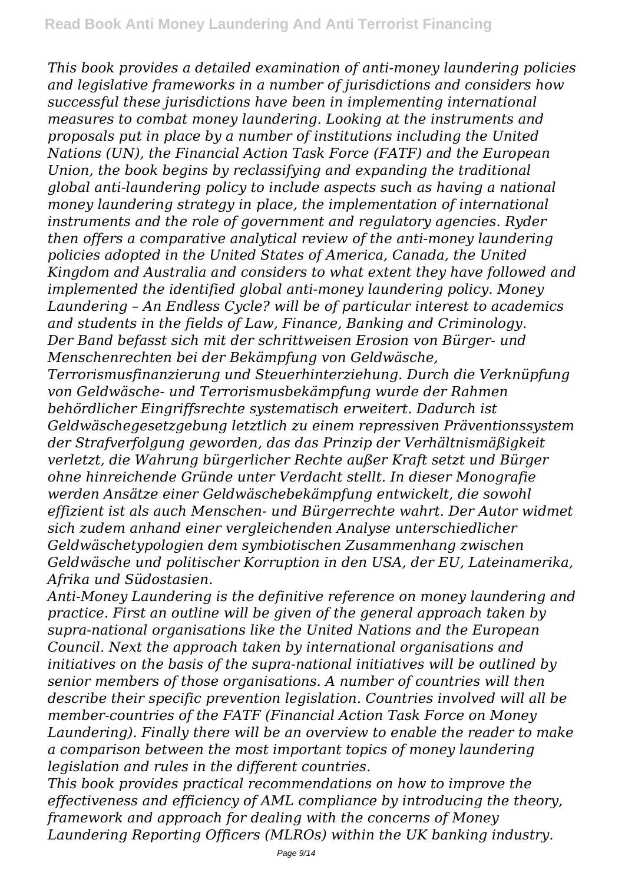*This book provides a detailed examination of anti-money laundering policies and legislative frameworks in a number of jurisdictions and considers how successful these jurisdictions have been in implementing international measures to combat money laundering. Looking at the instruments and proposals put in place by a number of institutions including the United Nations (UN), the Financial Action Task Force (FATF) and the European Union, the book begins by reclassifying and expanding the traditional global anti-laundering policy to include aspects such as having a national money laundering strategy in place, the implementation of international instruments and the role of government and regulatory agencies. Ryder then offers a comparative analytical review of the anti-money laundering policies adopted in the United States of America, Canada, the United Kingdom and Australia and considers to what extent they have followed and implemented the identified global anti-money laundering policy. Money Laundering – An Endless Cycle? will be of particular interest to academics and students in the fields of Law, Finance, Banking and Criminology. Der Band befasst sich mit der schrittweisen Erosion von Bürger- und Menschenrechten bei der Bekämpfung von Geldwäsche, Terrorismusfinanzierung und Steuerhinterziehung. Durch die Verknüpfung von Geldwäsche- und Terrorismusbekämpfung wurde der Rahmen behördlicher Eingriffsrechte systematisch erweitert. Dadurch ist Geldwäschegesetzgebung letztlich zu einem repressiven Präventionssystem der Strafverfolgung geworden, das das Prinzip der Verhältnismäßigkeit*

*verletzt, die Wahrung bürgerlicher Rechte außer Kraft setzt und Bürger ohne hinreichende Gründe unter Verdacht stellt. In dieser Monografie werden Ansätze einer Geldwäschebekämpfung entwickelt, die sowohl effizient ist als auch Menschen- und Bürgerrechte wahrt. Der Autor widmet sich zudem anhand einer vergleichenden Analyse unterschiedlicher Geldwäschetypologien dem symbiotischen Zusammenhang zwischen Geldwäsche und politischer Korruption in den USA, der EU, Lateinamerika, Afrika und Südostasien.*

*Anti-Money Laundering is the definitive reference on money laundering and practice. First an outline will be given of the general approach taken by supra-national organisations like the United Nations and the European Council. Next the approach taken by international organisations and initiatives on the basis of the supra-national initiatives will be outlined by senior members of those organisations. A number of countries will then describe their specific prevention legislation. Countries involved will all be member-countries of the FATF (Financial Action Task Force on Money Laundering). Finally there will be an overview to enable the reader to make a comparison between the most important topics of money laundering legislation and rules in the different countries.*

*This book provides practical recommendations on how to improve the effectiveness and efficiency of AML compliance by introducing the theory, framework and approach for dealing with the concerns of Money Laundering Reporting Officers (MLROs) within the UK banking industry.*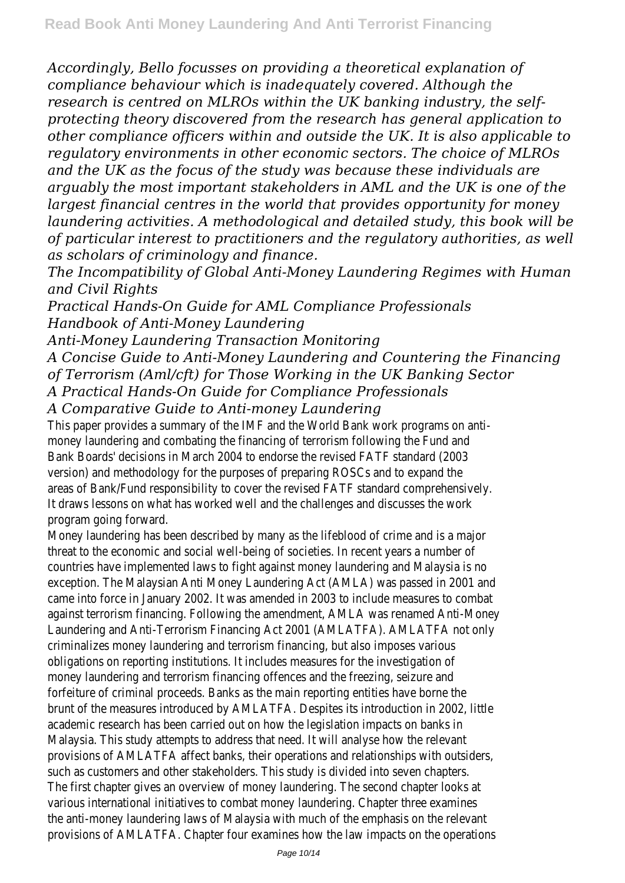*Accordingly, Bello focusses on providing a theoretical explanation of compliance behaviour which is inadequately covered. Although the research is centred on MLROs within the UK banking industry, the selfprotecting theory discovered from the research has general application to other compliance officers within and outside the UK. It is also applicable to regulatory environments in other economic sectors. The choice of MLROs and the UK as the focus of the study was because these individuals are arguably the most important stakeholders in AML and the UK is one of the largest financial centres in the world that provides opportunity for money laundering activities. A methodological and detailed study, this book will be of particular interest to practitioners and the regulatory authorities, as well as scholars of criminology and finance.*

*The Incompatibility of Global Anti-Money Laundering Regimes with Human and Civil Rights*

*Practical Hands-On Guide for AML Compliance Professionals Handbook of Anti-Money Laundering*

*Anti-Money Laundering Transaction Monitoring*

*A Concise Guide to Anti-Money Laundering and Countering the Financing*

*of Terrorism (Aml/cft) for Those Working in the UK Banking Sector*

*A Practical Hands-On Guide for Compliance Professionals*

*A Comparative Guide to Anti-money Laundering*

This paper provides a summary of the IMF and the World Bank work program money laundering and combating the financing of terrorism following the Bank Boards' decisions in March 2004 to endorse the revised FATF standa version) and methodology for the purposes of preparing ROSCs and to e areas of Bank/Fund responsibility to cover the revised FATF standard compre It draws lessons on what has worked well and the challenges and discusses program going forwa

Money laundering has been described by many as the lifeblood of crime and threat to the economic and social well-being of societies. In recent years a countries have implemented laws to fight against money laundering and Mala exception. The Malaysian Anti Money Laundering Act (AMLA) was passed in came into force in January 2002. It was amended in 2003 to include measures against terrorism financing. Following the amendment, AMLA was renamed A Laundering and Anti-Terrorism Financing Act 2001 (AMLATFA). AMLATFA criminalizes money laundering and terrorism financing, but also imposes obligations on reporting institutions. It includes measures for the invest money laundering and terrorism financing offences and the freezing, se forfeiture of criminal proceeds. Banks as the main reporting entities have brunt of the measures introduced by AMLATFA. Despites its introduction in 2 academic research has been carried out on how the legislation impacts or Malaysia. This study attempts to address that need. It will analyse how the provisions of AMLATFA affect banks, their operations and relationships with such as customers and other stakeholders. This study is divided into seven The first chapter gives an overview of money laundering. The second chapter various international initiatives to combat money laundering. Chapter three the anti-money laundering laws of Malaysia with much of the emphasis on the provisions of AMLATFA. Chapter four examines how the law impacts on the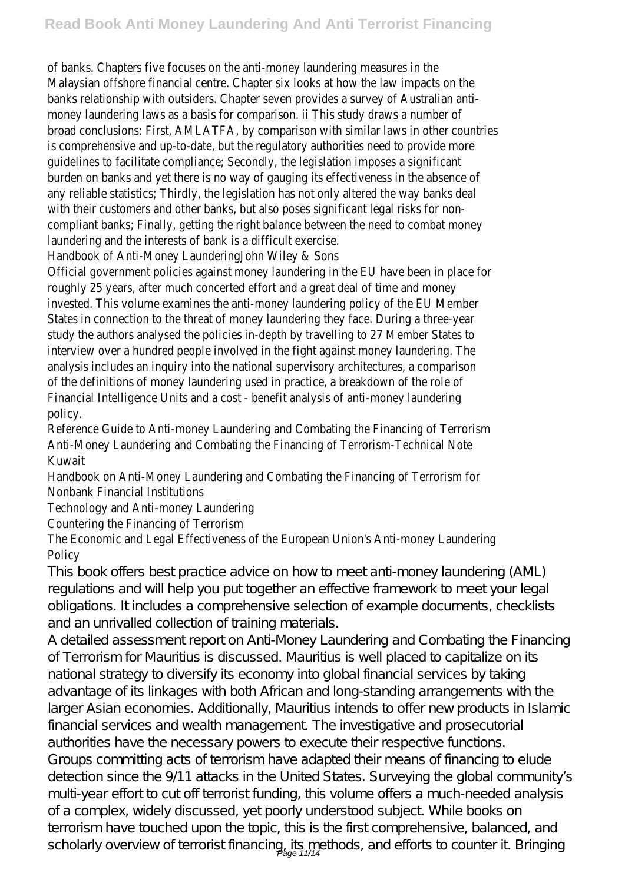of banks. Chapters five focuses on the anti-money laundering measure Malaysian offshore financial centre. Chapter six looks at how the law impact banks relationship with outsiders. Chapter seven provides a survey of Australian antimoney laundering laws as a basis for comparison. ii This study draws a r broad conclusions: First, AMLATFA, by comparison with similar laws in other is comprehensive and up-to-date, but the regulatory authorities need to pro guidelines to facilitate compliance; Secondly, the legislation imposes a s burden on banks and yet there is no way of gauging its effectiveness in the any reliable statistics; Thirdly, the legislation has not only altered the way banks with their customers and other banks, but also poses significant legal risk compliant banks; Finally, getting the right balance between the need to come laundering and the interests of bank is a difficult ex

Handbook of Anti-Money LaunderingJohn Wiley &

Official government policies against money laundering in the EU have been in roughly 25 years, after much concerted effort and a great deal of time and invested. This volume examines the anti-money laundering policy of the EU States in connection to the threat of money laundering they face. During a study the authors analysed the policies in-depth by travelling to 27 Member interview over a hundred people involved in the fight against money laund analysis includes an inquiry into the national supervisory architectures, a comparison of the definitions of money laundering used in practice, a breakdown of t Financial Intelligence Units and a cost - benefit analysis of anti-money la policy.

Reference Guide to Anti-money Laundering and Combating the Financing of Anti-Money Laundering and Combating the Financing of Terrorism-Techr **Kuwai** 

Handbook on Anti-Money Laundering and Combating the Financing of Terrorism Nonbank Financial Institutio

Technology and Anti-money Launder

Countering the Financing of Terro

The Economic and Legal Effectiveness of the European Union's Anti-money L **Policy** 

This book offers best practice advice on how to meet anti-money laundering (AML) regulations and will help you put together an effective framework to meet your legal obligations. It includes a comprehensive selection of example documents, checklists and an unrivalled collection of training materials.

A detailed assessment report on Anti-Money Laundering and Combating the Financing of Terrorism for Mauritius is discussed. Mauritius is well placed to capitalize on its national strategy to diversify its economy into global financial services by taking advantage of its linkages with both African and long-standing arrangements with the larger Asian economies. Additionally, Mauritius intends to offer new products in Islamic financial services and wealth management. The investigative and prosecutorial authorities have the necessary powers to execute their respective functions. Groups committing acts of terrorism have adapted their means of financing to elude detection since the 9/11 attacks in the United States. Surveying the global community's multi-year effort to cut off terrorist funding, this volume offers a much-needed analysis of a complex, widely discussed, yet poorly understood subject. While books on terrorism have touched upon the topic, this is the first comprehensive, balanced, and scholarly overview of terrorist financing, its methods, and efforts to counter it. Bringing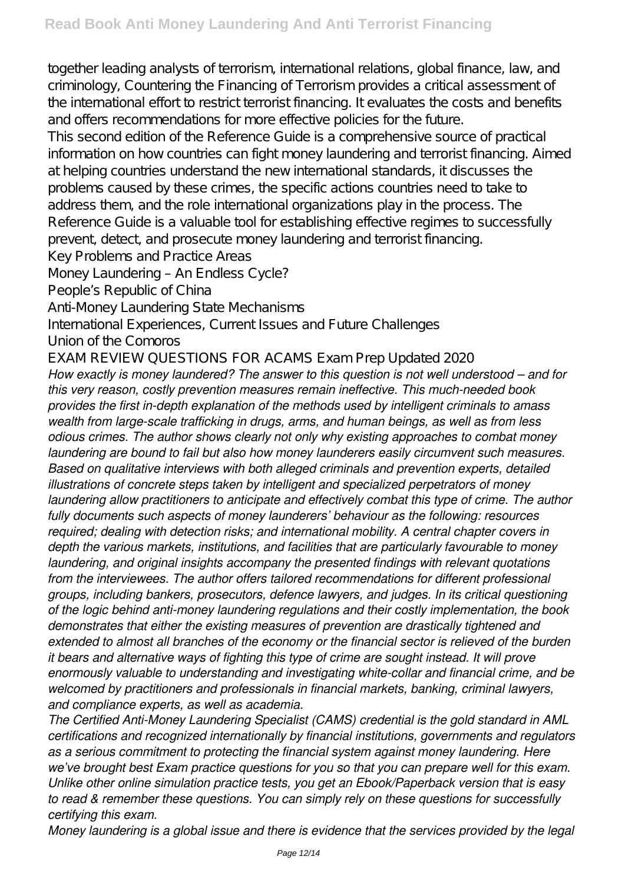together leading analysts of terrorism, international relations, global finance, law, and criminology, Countering the Financing of Terrorism provides a critical assessment of the international effort to restrict terrorist financing. It evaluates the costs and benefits and offers recommendations for more effective policies for the future.

This second edition of the Reference Guide is a comprehensive source of practical information on how countries can fight money laundering and terrorist financing. Aimed at helping countries understand the new international standards, it discusses the problems caused by these crimes, the specific actions countries need to take to address them, and the role international organizations play in the process. The Reference Guide is a valuable tool for establishing effective regimes to successfully prevent, detect, and prosecute money laundering and terrorist financing.

Key Problems and Practice Areas

Money Laundering – An Endless Cycle?

People's Republic of China

Anti-Money Laundering State Mechanisms

International Experiences, Current Issues and Future Challenges

Union of the Comoros

EXAM REVIEW QUESTIONS FOR ACAMS Exam Prep Updated 2020

*How exactly is money laundered? The answer to this question is not well understood – and for this very reason, costly prevention measures remain ineffective. This much-needed book provides the first in-depth explanation of the methods used by intelligent criminals to amass wealth from large-scale trafficking in drugs, arms, and human beings, as well as from less odious crimes. The author shows clearly not only why existing approaches to combat money laundering are bound to fail but also how money launderers easily circumvent such measures. Based on qualitative interviews with both alleged criminals and prevention experts, detailed illustrations of concrete steps taken by intelligent and specialized perpetrators of money laundering allow practitioners to anticipate and effectively combat this type of crime. The author fully documents such aspects of money launderers' behaviour as the following: resources required; dealing with detection risks; and international mobility. A central chapter covers in depth the various markets, institutions, and facilities that are particularly favourable to money laundering, and original insights accompany the presented findings with relevant quotations from the interviewees. The author offers tailored recommendations for different professional groups, including bankers, prosecutors, defence lawyers, and judges. In its critical questioning of the logic behind anti-money laundering regulations and their costly implementation, the book demonstrates that either the existing measures of prevention are drastically tightened and extended to almost all branches of the economy or the financial sector is relieved of the burden it bears and alternative ways of fighting this type of crime are sought instead. It will prove enormously valuable to understanding and investigating white-collar and financial crime, and be welcomed by practitioners and professionals in financial markets, banking, criminal lawyers, and compliance experts, as well as academia.*

*The Certified Anti-Money Laundering Specialist (CAMS) credential is the gold standard in AML certifications and recognized internationally by financial institutions, governments and regulators as a serious commitment to protecting the financial system against money laundering. Here we've brought best Exam practice questions for you so that you can prepare well for this exam. Unlike other online simulation practice tests, you get an Ebook/Paperback version that is easy to read & remember these questions. You can simply rely on these questions for successfully certifying this exam.*

*Money laundering is a global issue and there is evidence that the services provided by the legal*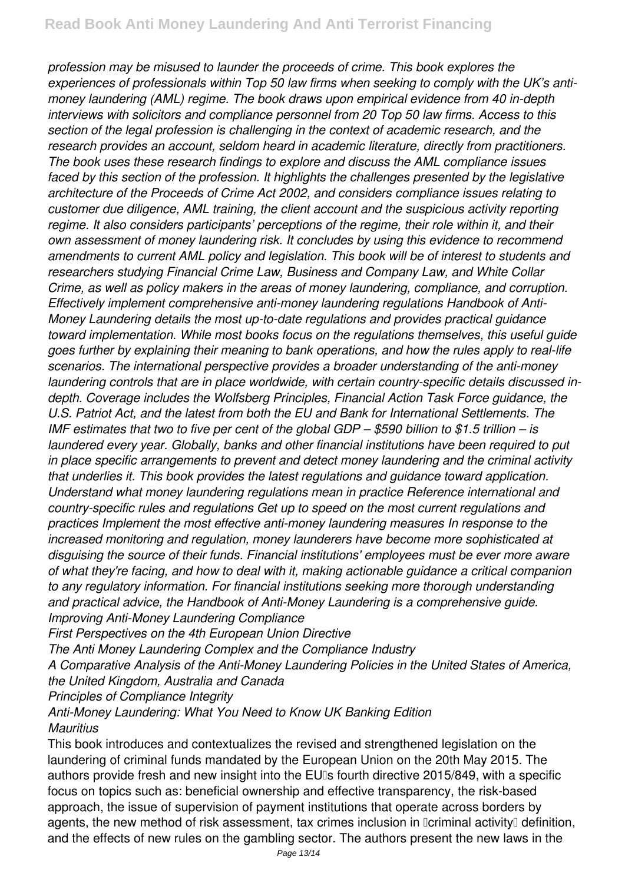*profession may be misused to launder the proceeds of crime. This book explores the experiences of professionals within Top 50 law firms when seeking to comply with the UK's antimoney laundering (AML) regime. The book draws upon empirical evidence from 40 in-depth interviews with solicitors and compliance personnel from 20 Top 50 law firms. Access to this section of the legal profession is challenging in the context of academic research, and the research provides an account, seldom heard in academic literature, directly from practitioners. The book uses these research findings to explore and discuss the AML compliance issues faced by this section of the profession. It highlights the challenges presented by the legislative architecture of the Proceeds of Crime Act 2002, and considers compliance issues relating to customer due diligence, AML training, the client account and the suspicious activity reporting regime. It also considers participants' perceptions of the regime, their role within it, and their own assessment of money laundering risk. It concludes by using this evidence to recommend amendments to current AML policy and legislation. This book will be of interest to students and researchers studying Financial Crime Law, Business and Company Law, and White Collar Crime, as well as policy makers in the areas of money laundering, compliance, and corruption. Effectively implement comprehensive anti-money laundering regulations Handbook of Anti-Money Laundering details the most up-to-date regulations and provides practical guidance toward implementation. While most books focus on the regulations themselves, this useful guide goes further by explaining their meaning to bank operations, and how the rules apply to real-life scenarios. The international perspective provides a broader understanding of the anti-money laundering controls that are in place worldwide, with certain country-specific details discussed indepth. Coverage includes the Wolfsberg Principles, Financial Action Task Force guidance, the U.S. Patriot Act, and the latest from both the EU and Bank for International Settlements. The IMF estimates that two to five per cent of the global GDP – \$590 billion to \$1.5 trillion – is laundered every year. Globally, banks and other financial institutions have been required to put in place specific arrangements to prevent and detect money laundering and the criminal activity that underlies it. This book provides the latest regulations and guidance toward application. Understand what money laundering regulations mean in practice Reference international and country-specific rules and regulations Get up to speed on the most current regulations and practices Implement the most effective anti-money laundering measures In response to the increased monitoring and regulation, money launderers have become more sophisticated at disguising the source of their funds. Financial institutions' employees must be ever more aware of what they're facing, and how to deal with it, making actionable guidance a critical companion to any regulatory information. For financial institutions seeking more thorough understanding and practical advice, the Handbook of Anti-Money Laundering is a comprehensive guide. Improving Anti-Money Laundering Compliance*

*First Perspectives on the 4th European Union Directive*

*The Anti Money Laundering Complex and the Compliance Industry*

*A Comparative Analysis of the Anti-Money Laundering Policies in the United States of America, the United Kingdom, Australia and Canada*

*Principles of Compliance Integrity*

*Anti-Money Laundering: What You Need to Know UK Banking Edition Mauritius*

This book introduces and contextualizes the revised and strengthened legislation on the laundering of criminal funds mandated by the European Union on the 20th May 2015. The authors provide fresh and new insight into the EUIs fourth directive 2015/849, with a specific focus on topics such as: beneficial ownership and effective transparency, the risk-based approach, the issue of supervision of payment institutions that operate across borders by agents, the new method of risk assessment, tax crimes inclusion in Dcriminal activityD definition, and the effects of new rules on the gambling sector. The authors present the new laws in the